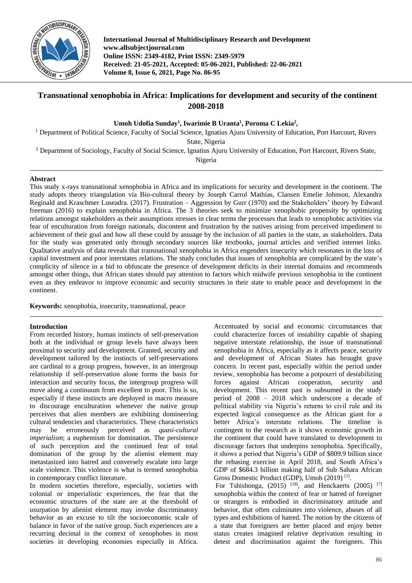

**International Journal of Multidisciplinary Research and Development www.allsubjectjournal.com Online ISSN: 2349-4182, Print ISSN: 2349-5979 Received: 21-05-2021, Accepted: 05-06-2021, Published: 22-06-2021 Volume 8, Issue 6, 2021, Page No. 86-95**

# **Transnational xenophobia in Africa: Implications for development and security of the continent 2008-2018**

**Umoh Udofia Sunday<sup>1</sup> , Iwarimie B Uranta<sup>1</sup> , Poroma C Lekia<sup>2</sup> ,**

<sup>1</sup> Department of Political Science, Faculty of Social Science, Ignatius Ajuru University of Education, Port Harcourt, Rivers

State, Nigeria

<sup>2</sup> Department of Sociology, Faculty of Social Science, Ignatius Ajuru University of Education, Port Harcourt, Rivers State,

Nigeria

# **Abstract**

This study x-rays transnational xenophobia in Africa and its implications for security and development in the continent. The study adopts theory triangulation via Bio-cultural theory by Joseph Carrol Mathias, Clansen Emelie Johnson, Alexandra Reginald and Kraschmer Luseadra. (2017). Frustration – Aggression by Gurr (1970) and the Stakeholders' theory by Edward freeman (2016) to explain xenophobia in Africa. The 3 theories seek to minimize xenophobic propensity by optimizing relations amongst stakeholders as their assumptions stresses in clear terms the processes that leads to xenophobic activities via fear of enculturation from foreign nationals, discontent and frustration by the natives arising from perceived impediment to achievement of their goal and how all these could by assuage by the inclusion of all parties in the state, as stakeholders. Data for the study was generated only through secondary sources like textbooks, journal articles and verified internet links. Qualitative analysis of data reveals that transnational xenophobia in Africa engenders insecurity which resonates in the loss of capital investment and poor interstates relations. The study concludes that issues of xenophobia are complicated by the state's complicity of silence in a bid to obfuscate the presence of development deficits in their internal domains and recommends amongst other things, that African states should pay attention to factors which midwife previous xenophobia in the continent even as they endeavor to improve economic and security structures in their state to enable peace and development in the continent.

**Keywords:** xenophobia, insecurity, transnational, peace

# **Introduction**

From recorded history, human instincts of self-preservation both at the individual or group levels have always been proximal to security and development. Granted, security and development tailored by the instincts of self-preservations are cardinal to a group progress, however, in an intergroup relationship if self-preservation alone forms the basis for interaction and security focus, the intergroup progress will move along a continuum from excellent to poor. This is so, especially if these instincts are deployed in macro measure to discourage enculturation whenever the native group perceives that alien members are exhibiting domineering cultural tendencies and characteristics. These characteristics may be erroneously perceived as *quasi-cultural imperialism*; a euphemism for domination. The persistence of such perception and the continued fear of total domination of the group by the alienist element may metastasized into hatred and conversely escalate into large scale violence. This violence is what is termed xenophobia in contemporary conflict literature.

In modern societies therefore, especially, societies with colonial or imperialistic experiences, the fear that the economic structures of the state are at the threshold of usurpation by alienist element may invoke discriminatory behavior as an excuse to tilt the socioeconomic scale of balance in favor of the native group. Such experiences are a recurring decimal in the context of xenophobes in most societies in developing economies especially in Africa.

Accentuated by social and economic circumstances that could characterize forces of instability capable of shaping negative interstate relationship, the issue of transnational xenophobia in Africa, especially as it affects peace, security and development of African States has brought grave concern. In recent past, especially within the period under review, xenophobia has become a potpourri of destabilizing forces against African cooperation, security and development. This recent past is subsumed in the study period of 2008 – 2018 which underscore a decade of political stability via Nigeria's returns to civil rule and its expected logical consequence as the African giant for a better Africa's interstate relations. The timeline is contingent to the research as it shows economic growth in the continent that could have translated to development to discourage factors that underpins xenophobia. Specifically, it shows a period that Nigeria's GDP of \$809.9 billion since the rebasing exercise in April 2018, and South Africa's GDP of \$684.3 billion making half of Sub Sahara African Gross Domestic Product (GDP), Umoh (2019)<sup>[1]</sup>.

For Tshishonga,  $(2015)$ <sup>[18]</sup>, and Henckaerts (2005)<sup>[7]</sup> xenophobia within the context of fear or hatred of foreigner or strangers is embodied in discriminatory attitude and behavior, that often culminates into violence, abuses of all types and exhibitions of hatred. The notion by the citizens of a state that foreigners are better placed and enjoy better status creates imagined relative deprivation resulting in detest and discrimination against the foreigners. This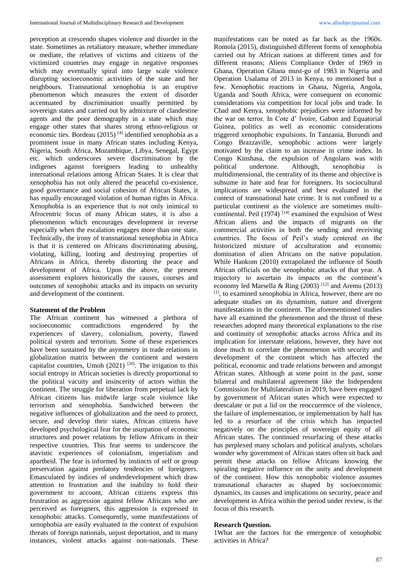perception at crescendo shapes violence and disorder in the state. Sometimes as retaliatory measure, whether immediate or mediate, the relatives of victims and citizens of the victimized countries may engage in negative responses which may eventually spiral into large scale violence disrupting socioeconomic activities of the state and her neighbours. Transnational xenophobia is an eruptive phenomenon which measures the extent of disorder accentuated by discrimination usually permitted by sovereign states and carried out by admixture of clandestine agents and the poor demography in a state which may engage other states that shares strong ethno-religious or economic ties. Bordeau (2015) [4] identified xenophobia as a prominent issue in many African states including Kenya, Nigeria, South Africa, Mozambique, Libya, Senegal, Egypt etc. which underscores severe discrimination by the indigenes against foreigners leading to unhealthy international relations among African States. It is clear that xenophobia has not only altered the peaceful co-existence, good governance and social cohesion of African States, it has equally encouraged violation of human rights in Africa. Xenophobia is an experience that is not only inimical to Afrocentric focus of many African states, it is also a phenomenon which encourages development in reverse especially when the escalation engages more than one state. Technically, the irony of transnational xenophobia in Africa is that it is centered on Africans discriminating abusing, violating, killing, looting and destroying properties of Africans in Africa, thereby distorting the peace and development of Africa. Upon the above, the present assessment explores historically the causes, courses and outcomes of xenophobic attacks and its impacts on security and development of the continent.

## **Statement of the Problem**

The African continent has witnessed a plethora of socioeconomic contradictions engendered by the experiences of slavery, colonialism, poverty, flawed political system and terrorism. Some of these experiences have been sustained by the asymmetry in trade relations in globalization matrix between the continent and western capitalist countries, Umoh  $(2021)$ <sup>[20]</sup>. The irrigation to this social entropy in African societies is directly proportional to the political vacuity and insincerity of actors within the continent. The struggle for liberation from perpetual lack by African citizens has midwife large scale violence like terrorism and xenophobia. Sandwiched between the negative influences of globalization and the need to protect, secure, and develop their states, African citizens have developed psychological fear for the usurpation of economic structures and power relations by fellow Africans in their respective countries. This fear seems to underscore the atavistic experiences of colonialism, imperialism and apartheid. The fear is informed by instincts of self or group preservation against predatory tendencies of foreigners. Emasculated by indices of underdevelopment which draw attention to frustration and the inability to hold their government to account, African citizens express this frustration as aggression against fellow Africans who are perceived as foreigners, this aggression is expressed in xenophobic attacks. Consequently, some manifestations of xenophobia are easily evaluated in the context of expulsion threats of foreign nationals, unjust deportation, and in many instances, violent attacks against non-nationals. These

manifestations can be noted as far back as the 1960s. Romola (2015), distinguished different forms of xenophobia carried out by African nations at different times and for different reasons; Aliens Compliance Order of 1969 in Ghana, Operation Ghana must-go of 1983 in Nigeria and Operation Usalama of 2013 in Kenya, to mentioned but a few. Xenophobic reactions in Ghana, Nigeria, Angola, Uganda and South Africa, were consequent on economic considerations via competition for local jobs and trade. In Chad and Kenya, xenophobic prejudices were informed by the war on terror. In Cote d' lvoire, Gabon and Equatorial Guinea, politics as well as economic considerations triggered xenophobic expulsions. In Tanzania, Burundi and Congo Brazzaville, xenophobic actions were largely motivated by the claim to an increase in crime index. In Congo Kinshasa, the expulsion of Angolans was with political undertone. Although, xenophobia is multidimensional, the centrality of its theme and objective is subsume in hate and fear for foreigners. Its sociocultural implications are widespread and best evaluated in the context of transnational hate crime. It is not confined to a particular continent as the violence are sometimes multicontinental. Peil  $(1974)$ <sup>[14]</sup> examined the expulsion of West African aliens and the impacts of migrants on the commercial activities in both the sending and receiving countries. The focus of Peil's study centered on the historicized mixture of acculturation and economic domination of alien Africans on the native population. While Hankom (2010) extrapolated the influence of South African officials on the xenophobic attacks of that year. A trajectory to ascertain its impacts on the continent's economy led Marsella & Ring  $(2003)$ <sup>[12]</sup> and Aremu (2013)  $[1]$ , to examined xenophobia in Africa, however, there are no adequate studies on its dynamism, nature and divergent manifestations in the continent. The aforementioned studies have all examined the phenomenon and the thrust of these researches adopted many theoretical explanations to the rise and continuity of xenophobic attacks across Africa and its implication for interstate relations, however, they have not done much to correlate the phenomenon with security and development of the continent which has affected the political, economic and trade relations between and amongst African states. Although at some point in the past, some bilateral and multilateral agreement like the Independent Commission for Multilateralism in 2019, have been engaged by government of African states which were expected to deescalate or put a lid on the reoccurrence of the violence, the failure of implementation, or implementation by half has led to a resurface of the crisis which has impacted negatively on the principles of sovereign equity of all African states. The continued resurfacing of these attacks has perplexed many scholars and political analysts, scholars wonder why government of African states often sit back and permit these attacks on fellow Africans knowing the spiraling negative influence on the unity and development of the continent. How this xenophobic violence assumes transnational character as shaped by socioeconomic dynamics, its causes and implications on security, peace and development in Africa within the period under review, is the focus of this research.

#### **Research Question.**

1What are the factors for the emergence of xenophobic activities in Africa?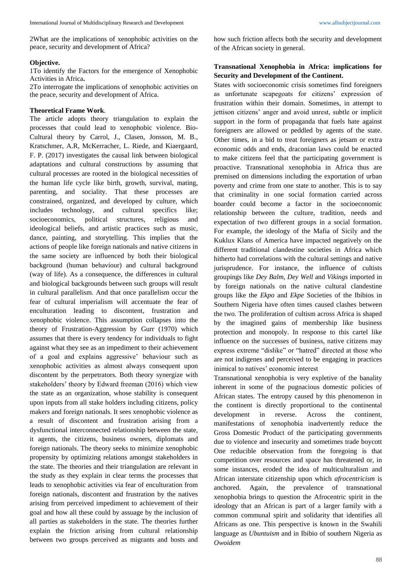2What are the implications of xenophobic activities on the peace, security and development of Africa?

#### **Objective.**

1To identify the Factors for the emergence of Xenophobic Activities in Africa**.**

2To interrogate the implications of xenophobic activities on the peace, security and development of Africa.

# **Theoretical Frame Work**.

The article adopts theory triangulation to explain the processes that could lead to xenophobic violence. Bio-Cultural theory by Carrol, J., Clasen, Jonsson, M. B., Kratschmer, A.R, McKerracher, L. Riede, and Kiaergaard, F. P. (2017) investigates the causal link between biological adaptations and cultural constructions by assuming that cultural processes are rooted in the biological necessities of the human life cycle like birth, growth, survival, mating, parenting, and sociality. That these processes are constrained, organized, and developed by culture, which includes technology, and cultural specifics like; socioeconomics, political structures, religious and ideological beliefs, and artistic practices such as music, dance, painting, and storytelling. This implies that the actions of people like foreign nationals and native citizens in the same society are influenced by both their biological background (human behaviour) and cultural background (way of life). As a consequence, the differences in cultural and biological backgrounds between such groups will result in cultural parallelism. And that once parallelism occur the fear of cultural imperialism will accentuate the fear of enculturation leading to discontent, frustration and xenophobic violence. This assumption collapses into the theory of Frustration-Aggression by Gurr (1970) which assumes that there is every tendency for individuals to fight against what they see as an impediment to their achievement of a goal and explains aggressive' behaviour such as xenophobic activities as almost always consequent upon discontent by the perpetrators. Both theory synergize with stakeholders' theory by Edward freeman (2016) which view the state as an organization, whose stability is consequent upon inputs from all stake holders including citizens, policy makers and foreign nationals. It sees xenophobic violence as a result of discontent and frustration arising from a dysfunctional interconnected relationship between the state, it agents, the citizens, business owners, diplomats and foreign nationals. The theory seeks to minimize xenophobic propensity by optimizing relations amongst stakeholders in the state. The theories and their triangulation are relevant in the study as they explain in clear terms the processes that leads to xenophobic activities via fear of enculturation from foreign nationals, discontent and frustration by the natives arising from perceived impediment to achievement of their goal and how all these could by assuage by the inclusion of all parties as stakeholders in the state. The theories further explain the friction arising from cultural relationship between two groups perceived as migrants and hosts and how such friction affects both the security and development of the African society in general.

# **Transnational Xenophobia in Africa: implications for Security and Development of the Continent.**

States with socioeconomic crisis sometimes find foreigners as unfortunate scapegoats for citizens' expression of frustration within their domain. Sometimes, in attempt to jettison citizens' anger and avoid unrest, subtle or implicit support in the form of propaganda that fuels hate against foreigners are allowed or peddled by agents of the state. Other times, in a bid to treat foreigners as jetsam or extra economic odds and ends, draconian laws could be enacted to make citizens feel that the participating government is proactive. Transnational xenophobia in Africa thus are premised on dimensions including the exportation of urban poverty and crime from one state to another. This is to say that criminality in one social formation carried across boarder could become a factor in the socioeconomic relationship between the culture, tradition, needs and expectation of two different groups in a social formation. For example, the ideology of the Mafia of Sicily and the Kuklux Klans of America have impacted negatively on the different traditional clandestine societies in Africa which hitherto had correlations with the cultural settings and native jurisprudence. For instance, the influence of cultists groupings like *Dey Balm*, *Dey Well* and *Vikings* imported in by foreign nationals on the native cultural clandestine groups like the *Ekpo* and *Ekpe* Societies of the Ibibios in Southern Nigeria have often times caused clashes between the two. The proliferation of cultism across Africa is shaped by the imagined gains of membership like business protection and monopoly. In response to this cartel like influence on the successes of business, native citizens may express extreme "dislike" or "hatred" directed at those who are not indigenes and perceived to be engaging in practices inimical to natives' economic interest

Transnational xenophobia is very expletive of the banality inherent in some of the pugnacious domestic policies of African states. The entropy caused by this phenomenon in the continent is directly proportional to the continental development in reverse. Across the continent, manifestations of xenophobia inadvertently reduce the Gross Domestic Product of the participating governments due to violence and insecurity and sometimes trade boycott One reducible observation from the foregoing is that competition over resources and space has threatened or, in some instances, eroded the idea of multiculturalism and African interstate citizenship upon which *afrocentricism* is anchored. Again, the prevalence of transnational xenophobia brings to question the Afrocentric spirit in the ideology that an African is part of a larger family with a common communal spirit and solidarity that identifies all Africans as one. This perspective is known in the Swahili language as *Ubuntuism* and in Ibibio of southern Nigeria as *Owoidem*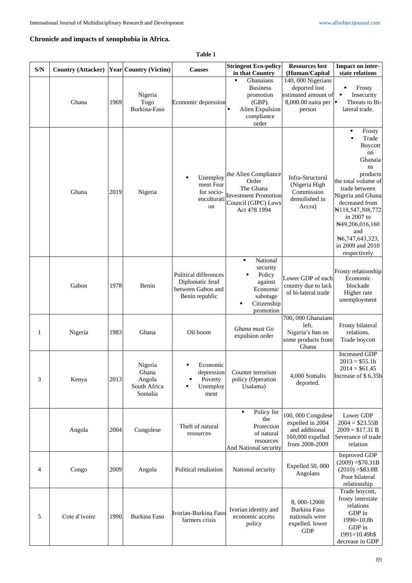# **Chronicle and impacts of xenophobia in Africa.**

**Table 1**

| S/N | Country (Attacker) Year Country (Victim) |      |                                                       | <b>Causes</b>                                                                   | <b>Stringent Eco-policy</b><br>in that Country                                                                   | <b>Resources lost</b>                                                                                          | Impact on inter-                                                                                                                                                                                                                                                              |
|-----|------------------------------------------|------|-------------------------------------------------------|---------------------------------------------------------------------------------|------------------------------------------------------------------------------------------------------------------|----------------------------------------------------------------------------------------------------------------|-------------------------------------------------------------------------------------------------------------------------------------------------------------------------------------------------------------------------------------------------------------------------------|
|     | Ghana                                    | 1969 | Nigeria<br>Togo<br>Burkina-Faso                       | Economic depression                                                             | Ghanaians<br>٠<br><b>Business</b><br>promotion<br>$(GBP)$ .<br>Alien Expulsion<br>compliance<br>order            | (Human/Capital<br>140, 000 Nigerians<br>deported lost<br>estimated amount of<br>8,000.00 naira per  <br>person | state relations<br>Frosty<br>Insecurity<br>Threats to Bi-<br>lateral trade.                                                                                                                                                                                                   |
|     | Ghana                                    | 2019 | Nigeria                                               | Unemploy<br>٠<br>ment Fear<br>for socio-<br>enculturati<br>on                   | the Alien Compliance<br>Order<br>The Ghana<br><b>Investment Promotion</b><br>Council (GIPC) Laws<br>Act 478 1994 | Infra-Structural<br>(Nigeria High<br>Commission<br>demolished in<br>Accra)                                     | Frosty<br>٠<br>Trade<br><b>Boycott</b><br>on<br>Ghanaia<br>ns<br>products<br>the total volume of<br>trade between<br>Nigeria and Ghana<br>decreased from<br>N118,547,308,772<br>in $2007$ to<br>N49,206,016,160<br>and<br>N6,747,643,323,<br>in 2009 and 2010<br>respectively |
|     | Gabon                                    | 1978 | Benin                                                 | Political differences<br>Diplomatic feud<br>between Gabon and<br>Benin republic | National<br>٠<br>security<br>Policy<br>against<br>Economic<br>sabotage<br>Citizenship<br>promotion               | Lower GDP of each<br>country due to lack<br>of bi-lateral trade                                                | Frosty relationship<br>Economic<br>blockade<br>Higher rate<br>unemployment                                                                                                                                                                                                    |
| 1   | Nigeria                                  | 1983 | Ghana                                                 | Oil boom                                                                        | Ghana must Go<br>expulsion order                                                                                 | 700, 000 Ghanaians<br>left.<br>Nigeria's ban on<br>some products from<br>Ghana                                 | Frosty bilateral<br>relations.<br>Trade boycott                                                                                                                                                                                                                               |
| 3   | Kenya                                    | 2013 | Nigeria<br>Ghana<br>Angola<br>South Africa<br>Somalia | Economic<br>depression<br>Poverty<br>Unemploy<br>ment                           | Counter terrorism<br>policy (Operation<br>Usalama)                                                               | 4,000 Somalis<br>deported.                                                                                     | <b>Increased GDP</b><br>$2013 = $55.1b$<br>$2014 = $61.45$<br>Increase of \$6.35b                                                                                                                                                                                             |
|     | Angola                                   | 2004 | Congolese                                             | Theft of natural<br>resources                                                   | Policy for<br>٠<br>the<br>Protection<br>of natural<br>resources<br>And National security                         | 100, 000 Congolese<br>expelled in 2004<br>and additional<br>160,000 expelled<br>from 2008-2009                 | Lower GDP<br>$2004 = $23.55B$<br>$2009 = $17.31 B$<br>Severance of trade<br>relation                                                                                                                                                                                          |
| 4   | Congo                                    | 2009 | Angola                                                | Political retaliation                                                           | National security                                                                                                | Expelled 50, 000<br>Angolans                                                                                   | <b>Improved GDP</b><br>$(2009) = $70.31B$<br>$(2010) = $83.8B$<br>Poor bilateral<br>relationship                                                                                                                                                                              |
| 5   | Cote d'ivoire                            | 1990 | Burkina Faso                                          | Ivorian-Burkina Faso<br>farmers crisis                                          | Ivorian identity and<br>economic access<br>policy                                                                | 8, 000-12000<br>Burkina Faso<br>nationals were<br>expelled. lower<br><b>GDP</b>                                | Trade boycott,<br>frosty interstate<br>relations<br>GDP in<br>$1990=10.8b$<br>GDP in<br>1991=10.49b\$<br>decrease in GDP                                                                                                                                                      |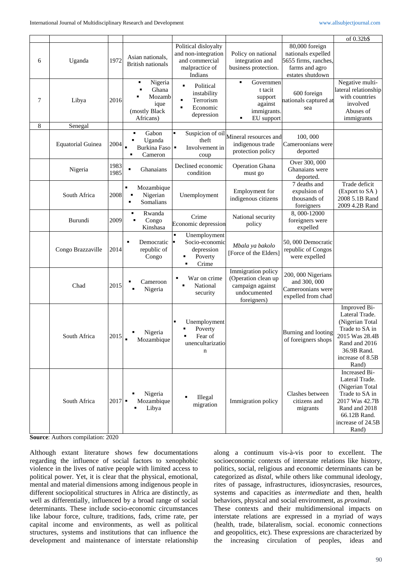|   |                          |                       |                                                                       |                                                                                                           |                                                                                              |                                                                                                    | of 0.32b\$                                                                                                                                            |
|---|--------------------------|-----------------------|-----------------------------------------------------------------------|-----------------------------------------------------------------------------------------------------------|----------------------------------------------------------------------------------------------|----------------------------------------------------------------------------------------------------|-------------------------------------------------------------------------------------------------------------------------------------------------------|
| 6 | Uganda                   | 1972                  | Asian nationals,<br><b>British nationals</b>                          | Political disloyalty<br>and non-integration<br>and commercial<br>malpractice of<br>Indians                | Policy on national<br>integration and<br>business protection.                                | 80,000 foreign<br>nationals expelled<br>5655 firms, ranches,<br>farms and agro<br>estates shutdown |                                                                                                                                                       |
| 7 | Libya                    | 2016                  | Nigeria<br>٠<br>Ghana<br>Mozamb<br>ique<br>(mostly Black<br>Africans) | Political<br>٠<br>instability<br>Terrorism<br>Economic<br>depression                                      | Governmen<br>t tacit<br>support<br>against<br>immigrants.<br>EU support                      | 600 foreign<br>nationals captured at<br>sea                                                        | Negative multi-<br>lateral relationship<br>with countries<br>involved<br>Abuses of<br>immigrants                                                      |
| 8 | Senegal                  |                       |                                                                       |                                                                                                           |                                                                                              |                                                                                                    |                                                                                                                                                       |
|   | <b>Equatorial Guinea</b> | 2004                  | Gabon<br>Uganda<br>Burkina Faso<br>Cameron                            | Suspicion of oil<br>theft<br>Involvement in<br>coup                                                       | Mineral resources and<br>indigenous trade<br>protection policy                               | 100,000<br>Cameroonians were<br>deported                                                           |                                                                                                                                                       |
|   | Nigeria                  | 1983<br>1985          | ٠<br>Ghanaians                                                        | Declined economic<br>condition                                                                            | <b>Operation Ghana</b><br>must go                                                            | Over 300, 000<br>Ghanaians were<br>deported.                                                       |                                                                                                                                                       |
|   | South Africa             | 2008                  | ٠<br>Mozambique<br>Nigerian<br>$\blacksquare$<br>Somalians<br>٠       | Unemployment                                                                                              | Employment for<br>indigenous citizens                                                        | 7 deaths and<br>expulsion of<br>thousands of<br>foreigners                                         | Trade deficit<br>(Export to SA)<br>2008 5.1B Rand<br>2009 4.2B Rand                                                                                   |
|   | Burundi                  | 2009                  | Rwanda<br>٠<br>Congo<br>Kinshasa                                      | Crime<br>Economic depression                                                                              | National security<br>policy                                                                  | 8,000-12000<br>foreigners were<br>expelled                                                         |                                                                                                                                                       |
|   | Congo Brazzaville        | 2014                  | Democratic<br>٠<br>republic of<br>Congo                               | $\blacksquare$<br>Unemployment<br>Socio-economic<br>depression<br>Poverty<br>٠<br>Crime<br>$\blacksquare$ | Mbala ya bakolo<br>[Force of the Elders]                                                     | 50,000 Democratic<br>republic of Congos<br>were expelled                                           |                                                                                                                                                       |
|   | Chad                     | 2015                  | Cameroon<br>Nigeria                                                   | War on crime<br>National<br>security                                                                      | Immigration policy<br>(Operation clean up<br>campaign against<br>undocumented<br>foreigners) | 200, 000 Nigerians<br>and 300, 000<br>Cameroonians were<br>expelled from chad                      |                                                                                                                                                       |
|   | South Africa             | 2015                  | Nigeria<br>Mozambique                                                 | Unemployment<br>Poverty<br>Fear of<br>unencultarizatio<br>n                                               |                                                                                              | Burning and looting<br>of foreigners shops                                                         | Improved Bi-<br>Lateral Trade.<br>(Nigerian Total<br>Trade to SA in<br>2015 Was 28.4B<br>Rand and 2016<br>36.9B Rand.<br>increase of 8.5B<br>Rand)    |
|   | South Africa             | $2017$ $\blacksquare$ | Nigeria<br>Mozambique<br>Libya<br>п                                   | Illegal<br>migration                                                                                      | Immigration policy                                                                           | Clashes between<br>citizens and<br>migrants                                                        | Increased Bi-<br>Lateral Trade.<br>(Nigerian Total<br>Trade to SA in<br>2017 Was 42.7B<br>Rand and 2018<br>66.12B Rand.<br>increase of 24.5B<br>Rand) |

**Source**: Authors compilation: 2020

Although extant literature shows few documentations regarding the influence of social factors to xenophobic violence in the lives of native people with limited access to political power. Yet, it is clear that the physical, emotional, mental and material dimensions among indigenous people in different sociopolitical structures in Africa are distinctly, as well as differentially, influenced by a broad range of social determinants. These include socio-economic circumstances like labour force, culture, traditions, fads, crime rate, per capital income and environments, as well as political structures, systems and institutions that can influence the development and maintenance of interstate relationship

along a continuum vis-à-vis poor to excellent. The socioeconomic contexts of interstate relations like history, politics, social, religious and economic determinants can be categorized as *distal*, while others like communal ideology, rites of passage, infrastructures, idiosyncrasies, resources, systems and capacities as *intermediate* and then, health behaviors, physical and social environment, as *proximal*.

These contexts and their multidimensional impacts on interstate relations are expressed in a myriad of ways (health, trade, bilateralism, social. economic connections and geopolitics, etc). These expressions are characterized by the increasing circulation of peoples, ideas and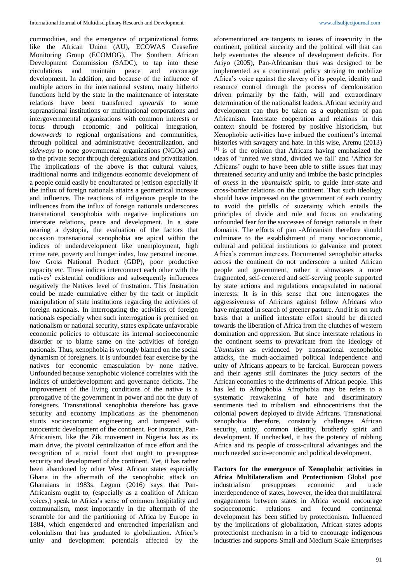commodities, and the emergence of organizational forms like the African Union (AU), ECOWAS Ceasefire Monitoring Group (ECOMOG), The Southern African Development Commission (SADC), to tap into these circulations and maintain peace and encourage development. In addition, and because of the influence of multiple actors in the international system, many hitherto functions held by the state in the maintenance of interstate relations have been transferred *upwards* to some supranational institutions or multinational corporations and intergovernmental organizations with common interests or focus through economic and political integration, *downwards* to regional organisations and communities, through political and administrative decentralization, and *sideways* to none governmental organizations (NGOs) and to the private sector through deregulations and privatization. The implications of the above is that cultural values, traditional norms and indigenous economic development of a people could easily be enculturated or jettison especially if the influx of foreign nationals attains a geometrical increase and influence. The reactions of indigenous people to the influences from the influx of foreign nationals underscores transnational xenophobia with negative implications on interstate relations, peace and development. In a state nearing a dystopia, the evaluation of the factors that occasion transnational xenophobia are apical within the indices of underdevelopment like unemployment, high crime rate, poverty and hunger index, low personal income, low Gross National Product (GDP), poor productive capacity etc. These indices interconnect each other with the natives' existential conditions and subsequently influences negatively the Natives level of frustration. This frustration could be made cumulative either by the tacit or implicit manipulation of state institutions regarding the activities of foreign nationals. In interrogating the activities of foreign nationals especially when such interrogation is premised on nationalism or national security, states explicate unfavorable economic policies to obfuscate its internal socioeconomic disorder or to blame same on the activities of foreign nationals. Thus, xenophobia is wrongly blamed on the social dynamism of foreigners. It is unfounded fear exercise by the natives for economic emasculation by none native. Unfounded because xenophobic violence correlates with the indices of underdevelopment and governance deficits. The improvement of the living conditions of the native is a prerogative of the government in power and not the duty of foreigners. Transnational xenophobia therefore has grave security and economy implications as the phenomenon stunts socioeconomic engineering and tampered with autocentric development of the continent. For instance, Pan-Africanism, like the Zik movement in Nigeria has as its main drive, the pivotal centralization of race effort and the recognition of a racial fount that ought to presuppose security and development of the continent. Yet, it has rather been abandoned by other West African states especially Ghana in the aftermath of the xenophobic attack on Ghanaians in 1983s. Legum (2016) says that Pan-Africanism ought to, (especially as a coalition of African voices,) speak to Africa's sense of common hospitality and communalism, most importantly in the aftermath of the scramble for and the partitioning of Africa by Europe in 1884, which engendered and entrenched imperialism and colonialism that has graduated to globalization. Africa's unity and development potentials affected by the

aforementioned are tangents to issues of insecurity in the continent, political sincerity and the political will that can help eventuates the absence of development deficits. For Ariyo (2005), Pan-Africanism thus was designed to be implemented as a continental policy striving to mobilize Africa's voice against the slavery of its people, identity and resource control through the process of decolonization driven primarily by the faith, will and extraordinary determination of the nationalist leaders. African security and development can thus be taken as a euphemism of pan Africanism. Interstate cooperation and relations in this context should be fostered by positive historicism, but Xenophobic activities have imbued the continent's internal histories with savagery and hate. In this wise, Aremu (2013) [1] is of the opinion that Africans having emphasized the ideas of 'united we stand, divided we fall' and 'Africa for Africans' ought to have been able to stifle issues that may threatened security and unity and imbibe the basic principles of *oness* in the *ubuntuistic* spirit, to guide inter-state and cross-border relations on the continent. That such ideology should have impressed on the government of each country to avoid the pitfalls of suzerainty which entails the principles of divide and rule and focus on eradicating unfounded fear for the successes of foreign nationals in their domains. The efforts of pan -Africanism therefore should culminate to the establishment of many socioeconomic, cultural and political institutions to galvanize and protect Africa's common interests. Documented xenophobic attacks across the continent do not underscore a united African people and government, rather it showcases a more fragmented, self-centered and self-serving people supported by state actions and regulations encapsulated in national interests. It is in this sense that one interrogates the aggressiveness of Africans against fellow Africans who have migrated in search of greener pasture. And it is on such basis that a unified interstate effort should be directed towards the liberation of Africa from the clutches of western domination and oppression. But since interstate relations in the continent seems to prevaricate from the ideology of *Ubuntuism* as evidenced by transnational xenophobic attacks, the much-acclaimed political independence and unity of Africans appears to be farcical. European powers and their agents still dominates the juicy sectors of the African economies to the detriments of African people. This has led to Afrophobia. Afrophobia may be refers to a systematic reawakening of hate and discriminatory sentiments tied to tribalism and ethnocentrisms that the colonial powers deployed to divide Africans. Transnational xenophobia therefore, constantly challenges African security, unity, common identity, brotherly spirit and development. If unchecked, it has the potency of robbing Africa and its people of cross-cultural advantages and the much needed socio-economic and political development.

**Factors for the emergence of Xenophobic activities in Africa Multilateralism and Protectionism** Global post industrialism presupposes economic and trade interdependence of states, however, the idea that multilateral engagements between states in Africa would encourage socioeconomic relations and fecund continental development has been stifled by protectionism. Influenced by the implications of globalization, African states adopts protectionist mechanism in a bid to encourage indigenous industries and supports Small and Medium Scale Enterprises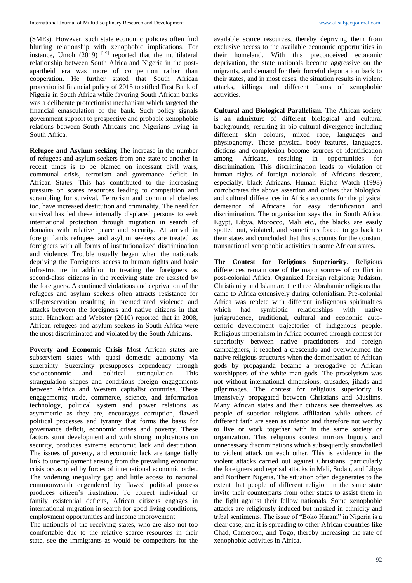(SMEs). However, such state economic policies often find blurring relationship with xenophobic implications. For instance, Umoh  $(2019)$ <sup>[19]</sup> reported that the multilateral relationship between South Africa and Nigeria in the postapartheid era was more of competition rather than cooperation. He further stated that South African protectionist financial policy of 2015 to stifled First Bank of Nigeria in South Africa while favoring South African banks was a deliberate protectionist mechanism which targeted the financial emasculation of the bank. Such policy signals government support to prospective and probable xenophobic relations between South Africans and Nigerians living in South Africa.

**Refugee and Asylum seeking** The increase in the number of refugees and asylum seekers from one state to another in recent times is to be blamed on incessant civil wars, communal crisis, terrorism and governance deficit in African States. This has contributed to the increasing pressure on scares resources leading to competition and scrambling for survival. Terrorism and communal clashes too, have increased destitution and criminality. The need for survival has led these internally displaced persons to seek international protection through migration in search of domains with relative peace and security. At arrival in foreign lands refugees and asylum seekers are treated as foreigners with all forms of institutionalized discrimination and violence. Trouble usually began when the nationals depriving the Foreigners access to human rights and basic infrastructure in addition to treating the foreigners as second-class citizens in the receiving state are resisted by the foreigners. A continued violations and deprivation of the refugees and asylum seekers often attracts resistance for self-preservation resulting in premeditated violence and attacks between the foreigners and native citizens in that state. Hanekom and Webster (2010) reported that in 2008, African refugees and asylum seekers in South Africa were the most discriminated and violated by the South Africans.

**Poverty and Economic Crisis** Most African states are subservient states with quasi domestic autonomy via suzerainty. Suzerainty presupposes dependency through socioeconomic and political strangulation. This strangulation shapes and conditions foreign engagements between Africa and Western capitalist countries. These engagements; trade, commerce, science, and information technology, political system and power relations as asymmetric as they are, encourages corruption, flawed political processes and tyranny that forms the basis for governance deficit, economic crises and poverty. These factors stunt development and with strong implications on security, produces extreme economic lack and destitution. The issues of poverty, and economic lack are tangentially link to unemployment arising from the prevailing economic crisis occasioned by forces of international economic order. The widening inequality gap and little access to national commonwealth engendered by flawed political process produces citizen's frustration. To correct individual or family existential deficits, African citizens engages in international migration in search for good living conditions, employment opportunities and income improvement.

The nationals of the receiving states, who are also not too comfortable due to the relative scarce resources in their state, see the immigrants as would be competitors for the

available scarce resources, thereby depriving them from exclusive access to the available economic opportunities in their homeland. With this preconceived economic deprivation, the state nationals become aggressive on the migrants, and demand for their forceful deportation back to their states, and in most cases, the situation results in violent attacks, killings and different forms of xenophobic activities.

**Cultural and Biological Parallelism.** The African society is an admixture of different biological and cultural backgrounds, resulting in bio cultural divergence including different skin colours, mixed race, languages and physiognomy. These physical body features, languages, dictions and complexion become sources of identification among Africans, resulting in opportunities for discrimination. This discrimination leads to violation of human rights of foreign nationals of Africans descent, especially, black Africans. Human Rights Watch (1998) corroborates the above assertion and opines that biological and cultural differences in Africa accounts for the physical demeanor of Africans for easy identification and discrimination. The organisation says that in South Africa, Egypt, Libya, Morocco, Mali etc., the blacks are easily spotted out, violated, and sometimes forced to go back to their states and concluded that this accounts for the constant transnational xenophobic activities in some African states.

**The Contest for Religious Superiority**. Religious differences remain one of the major sources of conflict in post-colonial Africa. Organized foreign religions; Judaism, Christianity and Islam are the three Abrahamic religions that came to Africa extensively during colonialism. Pre-colonial Africa was replete with different indigenous spiritualties which had symbiotic relationships with native jurisprudence, traditional, cultural and economic autocentric development trajectories of indigenous people. Religious imperialism in Africa occurred through contest for superiority between native practitioners and foreign campaigners, it reached a crescendo and overwhelmed the native religious structures when the demonization of African gods by propaganda became a prerogative of African worshippers of the white man gods. The proselytism was not without international dimensions; crusades, jihads and pilgrimages. The contest for religious superiority is intensively propagated between Christians and Muslims. Many African states and their citizens see themselves as people of superior religious affiliation while others of different faith are seen as inferior and therefore not worthy to live or work together with in the same society or organization. This religious contest mirrors bigotry and unnecessary discriminations which subsequently snowballed to violent attack on each other. This is evidence in the violent attacks carried out against Christians, particularly the foreigners and reprisal attacks in Mali, Sudan, and Libya and Northern Nigeria. The situation often degenerates to the extent that people of different religion in the same state invite their counterparts from other states to assist them in the fight against their fellow nationals. Some xenophobic attacks are religiously induced but masked in ethnicity and tribal sentiments. The issue of "Boko Haram" in Nigeria is a clear case, and it is spreading to other African countries like Chad, Cameroon, and Togo, thereby increasing the rate of xenophobic activities in Africa.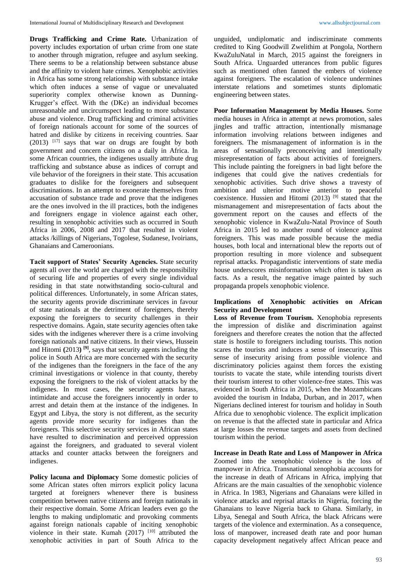**Drugs Trafficking and Crime Rate.** Urbanization of poverty includes exportation of urban crime from one state to another through migration, refugee and asylum seeking. There seems to be a relationship between substance abuse and the affinity to violent hate crimes. Xenophobic activities in Africa has some strong relationship with substance intake which often induces a sense of vague or unevaluated superiority complex otherwise known as Dunning-Krugger's effect. With the (DKe) an individual becomes unreasonable and uncircumspect leading to more substance abuse and violence. Drug trafficking and criminal activities of foreign nationals account for some of the sources of hatred and dislike by citizens in receiving countries. Saar (2013) [17] says that war on drugs are fought by both government and concern citizens on a daily in Africa. In some African countries, the indigenes usually attribute drug trafficking and substance abuse as indices of corrupt and vile behavior of the foreigners in their state. This accusation graduates to dislike for the foreigners and subsequent discriminations. In an attempt to exonerate themselves from accusation of substance trade and prove that the indigenes are the ones involved in the ill practices, both the indigenes and foreigners engage in violence against each other, resulting in xenophobic activities such as occurred in South Africa in 2006, 2008 and 2017 that resulted in violent attacks /killings of Nigerians, Togolese, Sudanese, Ivoirians, Ghanaians and Cameroonians.

**Tacit support of States' Security Agencies.** State security agents all over the world are charged with the responsibility of securing life and properties of every single individual residing in that state notwithstanding socio-cultural and political differences. Unfortunately, in some African states, the security agents provide discriminate services in favour of state nationals at the detriment of foreigners, thereby exposing the foreigners to security challenges in their respective domains. Again, state security agencies often take sides with the indigenes wherever there is a crime involving foreign nationals and native citizens. In their views, Hussein and Hitomi **(**2013**) [9]**, says that security agents including the police in South Africa are more concerned with the security of the indigenes than the foreigners in the face of the any criminal investigations or violence in that county, thereby exposing the foreigners to the risk of violent attacks by the indigenes. In most cases, the security agents harass, intimidate and accuse the foreigners innocently in order to arrest and detain them at the instance of the indigenes. In Egypt and Libya, the story is not different, as the security agents provide more security for indigenes than the foreigners. This selective security services in African states have resulted to discrimination and perceived oppression against the foreigners, and graduated to several violent attacks and counter attacks between the foreigners and indigenes.

Policy lacuna and Diplomacy Some domestic policies of some African states often mirrors explicit policy lacuna targeted at foreigners whenever there is business competition between native citizens and foreign nationals in their respective domain. Some African leaders even go the lengths to making undiplomatic and provoking comments against foreign nationals capable of inciting xenophobic violence in their state. Kumah  $(2017)$  <sup>[10]</sup> attributed the xenophobic activities in part of South Africa to the

unguided, undiplomatic and indiscriminate comments credited to King Goodwill Zwelithim at Pongola, Northern KwaZuluNatal in March, 2015 against the foreigners in South Africa. Unguarded utterances from public figures such as mentioned often fanned the embers of violence against foreigners. The escalation of violence undermines interstate relations and sometimes stunts diplomatic engineering between states.

**Poor Information Management by Media Houses.** Some media houses in Africa in attempt at news promotion, sales jingles and traffic attraction, intentionally mismanage information involving relations between indigenes and foreigners. The mismanagement of information is in the areas of sensationally preconceiving and intentionally misrepresentation of facts about activities of foreigners. This include painting the foreigners in bad light before the indigenes that could give the natives credentials for xenophobic activities. Such drive shows a travesty of ambition and ulterior motive anterior to peaceful coexistence. Hussien and Hitomi (2013)  $[9]$  stated that the mismanagement and misrepresentation of facts about the government report on the causes and effects of the xenophobic violence in KwaZulu-Natal Province of South Africa in 2015 led to another round of violence against foreigners. This was made possible because the media houses, both local and international blew the reports out of proportion resulting in more violence and subsequent reprisal attacks. Propagandistic interventions of state media house underscores misinformation which often is taken as facts. As a result, the negative image painted by such propaganda propels xenophobic violence.

## **Implications of Xenophobic activities on African Security and Development**

**Loss of Revenue from Tourism.** Xenophobia represents the impression of dislike and discrimination against foreigners and therefore creates the notion that the affected state is hostile to foreigners including tourists. This notion scares the tourists and induces a sense of insecurity. This sense of insecurity arising from possible violence and discriminatory policies against them forces the existing tourists to vacate the state, while intending tourists divert their tourism interest to other violence-free states. This was evidenced in South Africa in 2015, when the Mozambicans avoided the tourism in Indaba, Durban, and in 2017, when Nigerians declined interest for tourism and holiday in South Africa due to xenophobic violence. The explicit implication on revenue is that the affected state in particular and Africa at large losses the revenue targets and assets from declined tourism within the period.

**Increase in Death Rate and Loss of Manpower in Africa**  Zoomed into the xenophobic violence is the loss of manpower in Africa. Transnational xenophobia accounts for the increase in death of Africans in Africa, implying that Africans are the main casualties of the xenophobic violence in Africa. In 1983, Nigerians and Ghanaians were killed in violence attacks and reprisal attacks in Nigeria, forcing the Ghanaians to leave Nigeria back to Ghana. Similarly, in Libya, Senegal and South Africa, the black Africans were targets of the violence and extermination. As a consequence, loss of manpower, increased death rate and poor human capacity development negatively affect African peace and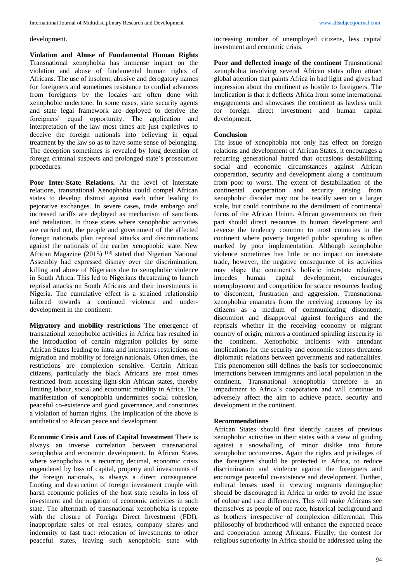#### development.

**Violation and Abuse of Fundamental Human Rights**  Transnational xenophobia has immense impact on the violation and abuse of fundamental human rights of Africans. The use of insolent, abusive and derogatory names for foreigners and sometimes resistance to cordial advances from foreigners by the locales are often done with xenophobic undertone. In some cases, state security agents and state legal framework are deployed to deprive the foreigners' equal opportunity. The application and interpretation of the law most times are just expletives to deceive the foreign nationals into believing in equal treatment by the law so as to have some sense of belonging. The deception sometimes is revealed by long detention of foreign criminal suspects and prolonged state's prosecution procedures.

**Poor Inter-State Relations.** At the level of interstate relations, transnational Xenophobia could compel African states to develop distrust against each other leading to pejorative exchanges. In severe cases, trade embargo and increased tariffs are deployed as mechanism of sanctions and retaliation. In those states where xenophobic activities are carried out, the people and government of the affected foreign nationals plan reprisal attacks and discriminations against the nationals of the earlier xenophobic state. New African Magazine (2015)  $^{[13]}$  stated that Nigerian National Assembly had expressed dismay over the discrimination, killing and abuse of Nigerians due to xenophobic violence in South Africa. This led to Nigerians threatening to launch reprisal attacks on South Africans and their investments in Nigeria. The cumulative effect is a strained relationship tailored towards a continued violence and underdevelopment in the continent.

**Migratory and mobility restrictions** The emergence of transnational xenophobic activities in Africa has resulted in the introduction of certain migration policies by some African States leading to intra and interstates restrictions on migration and mobility of foreign nationals. Often times, the restrictions are complexion sensitive. Certain African citizens, particularly the black Africans are most times restricted from accessing light-skin African states, thereby limiting labour, social and economic mobility in Africa. The manifestation of xenophobia undermines social cohesion, peaceful co-existence and good governance, and constitutes a violation of human rights. The implication of the above is antithetical to African peace and development.

**Economic Crisis and Loss of Capital Investment** There is always an inverse correlation between transnational xenophobia and economic development. In African States where xenophobia is a recurring decimal, economic crisis engendered by loss of capital, property and investments of the foreign nationals, is always a direct consequence. Looting and destruction of foreign investment couple with harsh economic policies of the host state results in loss of investment and the negation of economic activities in such state. The aftermath of transnational xenophobia is replete with the closure of Foreign Direct Investment (FDI), inappropriate sales of real estates, company shares and indemnity to fast tract relocation of investments to other peaceful states, leaving such xenophobic state with

increasing number of unemployed citizens, less capital investment and economic crisis.

**Poor and deflected image of the continent** Transnational xenophobia involving several African states often attract global attention that paints Africa in bad light and gives bad impression about the continent as hostile to foreigners. The implication is that it deflects Africa from some international engagements and showcases the continent as lawless unfit for foreign direct investment and human capital development.

## **Conclusion**

The issue of xenophobia not only has effect on foreign relations and development of African States, it encourages a recurring generational hatred that occasions destabilizing social and economic circumstances against African cooperation, security and development along a continuum from poor to worst. The extent of destabilization of the continental cooperation and security arising from xenophobic disorder may not be readily seen on a larger scale, but could contribute to the derailment of continental focus of the African Union. African governments on their part should direct resources to human development and reverse the tendency common to most countries in the continent where poverty targeted public spending is often marked by poor implementation. Although xenophobic violence sometimes has little or no impact on interstate trade, however, the negative consequence of its activities may shape the continent's holistic interstate relations, impedes human capital development, encourages unemployment and competition for scarce resources leading to discontent, frustration and aggression. Transnational xenophobia emanates from the receiving economy by its citizens as a medium of communicating discontent, discomfort and disapproval against foreigners and the reprisals whether in the receiving economy or migrant country of origin, mirrors a continued spiraling insecurity in the continent. Xenophobic incidents with attendant implications for the security and economic sectors threatens diplomatic relations between governments and nationalities. This phenomenon still defines the basis for socioeconomic interactions between immigrants and local population in the continent. Transnational xenophobia therefore is an impediment to Africa's cooperation and will continue to adversely affect the aim to achieve peace, security and development in the continent.

### **Recommendations**

African States should first identify causes of previous xenophobic activities in their states with a view of guiding against a snowballing of minor dislike into future xenophobic occurrences. Again the rights and privileges of the foreigners should be protected in Africa, to reduce discrimination and violence against the foreigners and encourage peaceful co-existence and development. Further, cultural lenses used in viewing migrants demographic should be discouraged in Africa in order to avoid the issue of colour and race differences. This will make Africans see themselves as people of one race, historical background and as brothers irrespective of complexion differential. This philosophy of brotherhood will enhance the expected peace and cooperation among Africans. Finally, the contest for religious superiority in Africa should be addressed using the